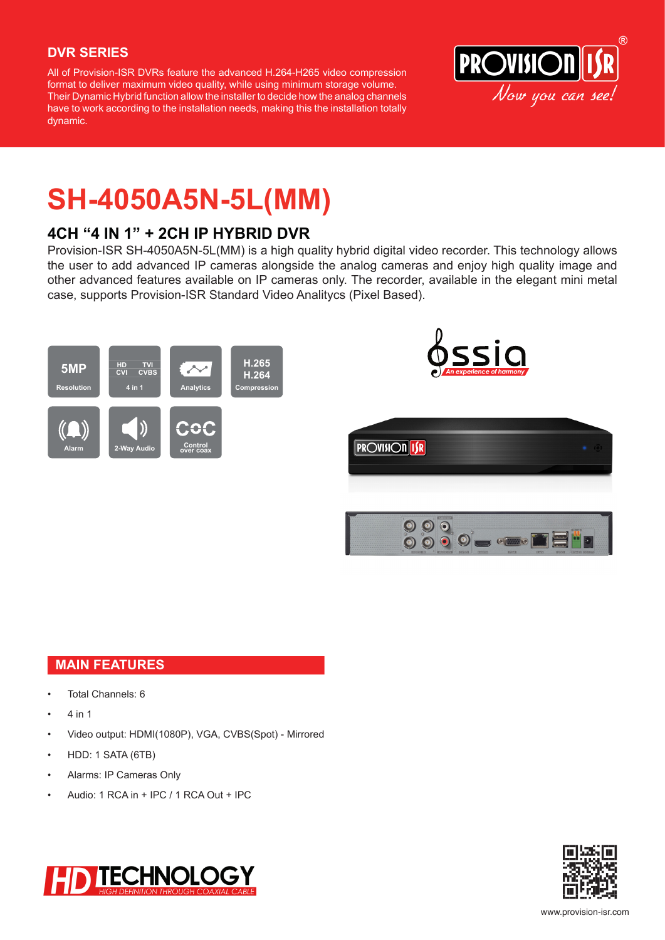### **DVR SERIES**

All of Provision-ISR DVRs feature the advanced H.264-H265 video compression format to deliver maximum video quality, while using minimum storage volume. Their Dynamic Hybrid function allow the installer to decide how the analog channels have to work according to the installation needs, making this the installation totally dynamic.



## **SH-4050A5N-5L(MM)**

## **4CH "4 IN 1" + 2CH IP HYBRID DVR**

Provision-ISR SH-4050A5N-5L(MM) is a high quality hybrid digital video recorder. This technology allows the user to add advanced IP cameras alongside the analog cameras and enjoy high quality image and other advanced features available on IP cameras only. The recorder, available in the elegant mini metal case, supports Provision-ISR Standard Video Analitycs (Pixel Based).



### **MAIN FEATURES**

- Total Channels: 6
- 4 in 1
- Video output: HDMI(1080P), VGA, CVBS(Spot) Mirrored
- HDD: 1 SATA (6TB)
- Alarms: IP Cameras Only
- Audio: 1 RCA in + IPC / 1 RCA Out + IPC



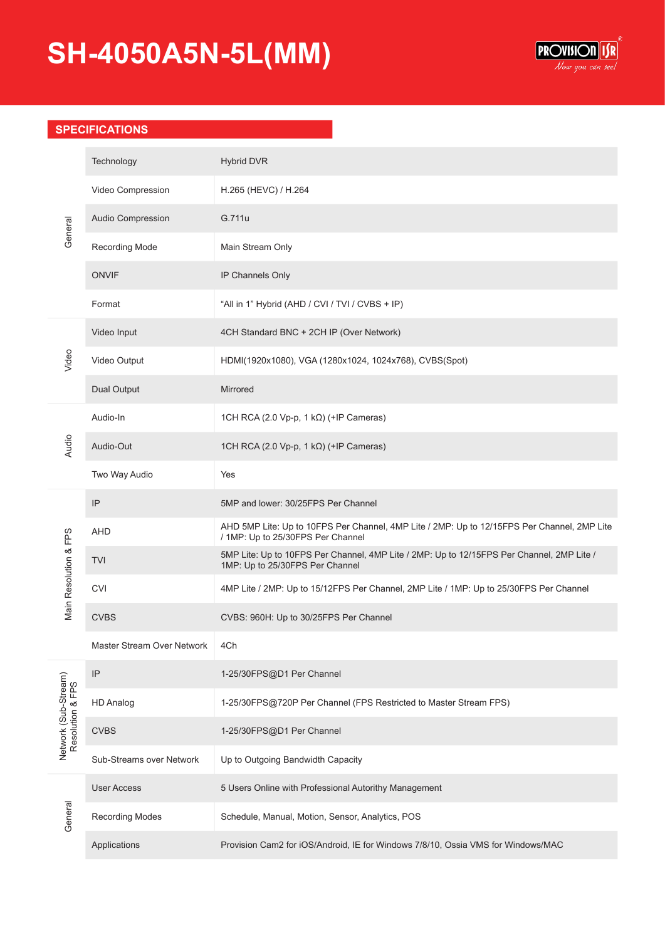# **SH-4050A5N-5L(MM)**



### **SPECIFICATIONS**

| General                                  | Technology                 | <b>Hybrid DVR</b>                                                                                                                |
|------------------------------------------|----------------------------|----------------------------------------------------------------------------------------------------------------------------------|
|                                          | Video Compression          | H.265 (HEVC) / H.264                                                                                                             |
|                                          | Audio Compression          | G.711u                                                                                                                           |
|                                          | <b>Recording Mode</b>      | Main Stream Only                                                                                                                 |
|                                          | <b>ONVIF</b>               | IP Channels Only                                                                                                                 |
|                                          | Format                     | "All in 1" Hybrid (AHD / CVI / TVI / CVBS + IP)                                                                                  |
| Video                                    | Video Input                | 4CH Standard BNC + 2CH IP (Over Network)                                                                                         |
|                                          | Video Output               | HDMI(1920x1080), VGA (1280x1024, 1024x768), CVBS(Spot)                                                                           |
|                                          | <b>Dual Output</b>         | Mirrored                                                                                                                         |
| Audio                                    | Audio-In                   | 1CH RCA (2.0 Vp-p, 1 k $\Omega$ ) (+IP Cameras)                                                                                  |
|                                          | Audio-Out                  | 1CH RCA (2.0 Vp-p, 1 k $\Omega$ ) (+IP Cameras)                                                                                  |
|                                          | Two Way Audio              | Yes                                                                                                                              |
| Main Resolution & FPS                    | IP                         | 5MP and lower: 30/25FPS Per Channel                                                                                              |
|                                          | <b>AHD</b>                 | AHD 5MP Lite: Up to 10FPS Per Channel, 4MP Lite / 2MP: Up to 12/15FPS Per Channel, 2MP Lite<br>/ 1MP: Up to 25/30FPS Per Channel |
|                                          | <b>TVI</b>                 | 5MP Lite: Up to 10FPS Per Channel, 4MP Lite / 2MP: Up to 12/15FPS Per Channel, 2MP Lite /<br>1MP: Up to 25/30FPS Per Channel     |
|                                          | <b>CVI</b>                 | 4MP Lite / 2MP: Up to 15/12FPS Per Channel, 2MP Lite / 1MP: Up to 25/30FPS Per Channel                                           |
|                                          | <b>CVBS</b>                | CVBS: 960H: Up to 30/25FPS Per Channel                                                                                           |
|                                          | Master Stream Over Network | 4Ch                                                                                                                              |
| Network (Sub-Stream)<br>Resolution & FPS | IP                         | 1-25/30FPS@D1 Per Channel                                                                                                        |
|                                          | <b>HD Analog</b>           | 1-25/30FPS@720P Per Channel (FPS Restricted to Master Stream FPS)                                                                |
|                                          | <b>CVBS</b>                | 1-25/30FPS@D1 Per Channel                                                                                                        |
|                                          | Sub-Streams over Network   | Up to Outgoing Bandwidth Capacity                                                                                                |
| General                                  | <b>User Access</b>         | 5 Users Online with Professional Autorithy Management                                                                            |
|                                          | <b>Recording Modes</b>     | Schedule, Manual, Motion, Sensor, Analytics, POS                                                                                 |
|                                          | Applications               | Provision Cam2 for iOS/Android, IE for Windows 7/8/10, Ossia VMS for Windows/MAC                                                 |